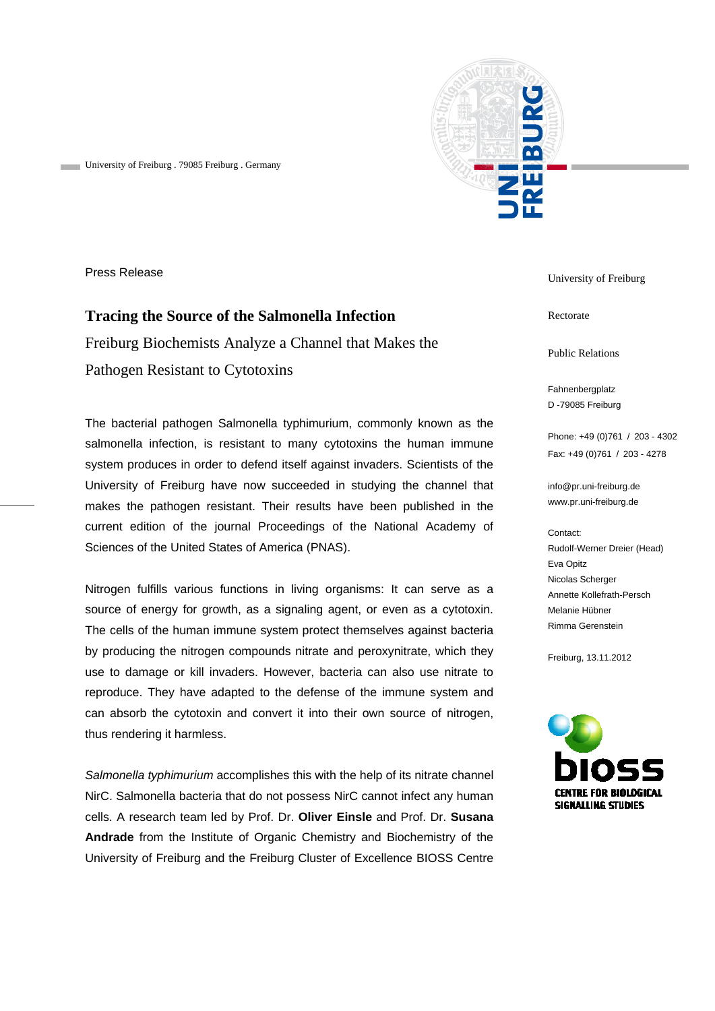

University of Freiburg . 79085 Freiburg . Germany

Press Release

## **Tracing the Source of the Salmonella Infection**

Freiburg Biochemists Analyze a Channel that Makes the Pathogen Resistant to Cytotoxins

The bacterial pathogen Salmonella typhimurium, commonly known as the salmonella infection, is resistant to many cytotoxins the human immune system produces in order to defend itself against invaders. Scientists of the University of Freiburg have now succeeded in studying the channel that makes the pathogen resistant. Their results have been published in the current edition of the journal Proceedings of the National Academy of Sciences of the United States of America (PNAS).

Nitrogen fulfills various functions in living organisms: It can serve as a source of energy for growth, as a signaling agent, or even as a cytotoxin. The cells of the human immune system protect themselves against bacteria by producing the nitrogen compounds nitrate and peroxynitrate, which they use to damage or kill invaders. However, bacteria can also use nitrate to reproduce. They have adapted to the defense of the immune system and can absorb the cytotoxin and convert it into their own source of nitrogen, thus rendering it harmless.

*Salmonella typhimurium* accomplishes this with the help of its nitrate channel NirC. Salmonella bacteria that do not possess NirC cannot infect any human cells. A research team led by Prof. Dr. **Oliver Einsle** and Prof. Dr. **Susana Andrade** from the Institute of Organic Chemistry and Biochemistry of the University of Freiburg and the Freiburg Cluster of Excellence BIOSS Centre

University of Freiburg

Rectorate

Public Relations

Fahnenbergplatz D -79085 Freiburg

Phone: +49 (0)761 / 203 - 4302 Fax: +49 (0)761 / 203 - 4278

info@pr.uni-freiburg.de www.pr.uni-freiburg.de

Contact: Rudolf-Werner Dreier (Head) Eva Opitz Nicolas Scherger Annette Kollefrath-Persch Melanie Hübner Rimma Gerenstein

Freiburg, 13.11.2012